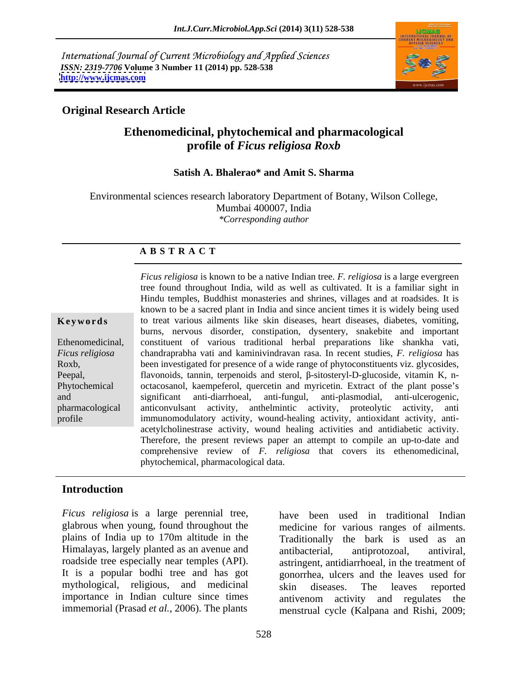International Journal of Current Microbiology and Applied Sciences *ISSN: 2319-7706* **Volume 3 Number 11 (2014) pp. 528-538 <http://www.ijcmas.com>**



### **Original Research Article**

### **Ethenomedicinal, phytochemical and pharmacological profile of** *Ficus religiosa Roxb*

# **Satish A. Bhalerao\* and Amit S. Sharma**

Environmental sciences research laboratory Department of Botany, Wilson College, Mumbai 400007, India *\*Corresponding author* 

### **A B S T R A C T**

**Keywords** to treat various ailments like skin diseases, heart diseases, diabetes, vomiting, Ethenomedicinal, constituent of various traditional herbal preparations like shankha vati, *Ficus religiosa* chandraprabha vati and kaminivindravan rasa. In recent studies, *F. religiosa* has Roxb, been investigated for presence of a wide range of phytoconstituents viz. glycosides, Peepal, flavonoids, tannin, terpenoids and sterol,  $\beta$ -sitosteryl-D-glucoside, vitamin K, n-Phytochemical octacosanol, kaempeferol, quercetin and myricetin. Extract of the plant posse's and significant anti-diarrhoeal, anti-fungul, anti-plasmodial, anti-ulcerogenic, pharmacological anticonvulsant activity, anthelmintic activity, proteolytic activity, anti profile immunomodulatory activity, wound-healing activity, antioxidant activity, anti- *Ficus religiosa* is known to be a native Indian tree. *F. religiosa* is a large evergreen tree found throughout India, wild as well as cultivated. It is a familiar sight in Hindu temples, Buddhist monasteries and shrines, villages and at roadsides. It is known to be a sacred plant in India and since ancient times it is widely being used burns, nervous disorder, constipation, dysentery*,* snakebite and important significant anti-diarrhoeal, anti-fungul, anti-plasmodial, anti-ulcerogenic, acetylcholinestrase activity, wound healing activities and antidiabetic activity. Therefore, the present reviews paper an attempt to compile an up-to-date and comprehensive review of *F. religiosa* that covers its ethenomedicinal, phytochemical, pharmacological data.

### **Introduction**

*Ficus religiosa* is a large perennial tree, glabrous when young, found throughout the plains of India up to 170m altitude in the Himalayas, largely planted as an avenue and antibacterial, antiprotozoal, antiviral, roadside tree especially near temples (API). mythological, religious, and medicinal importance in Indian culture since times antivenom activity and regulates the

It is a popular bodhi tree and has got gonorrhea, ulcers and the leaves used for immemorial (Prasad *et al.,* 2006). The plants menstrual cycle (Kalpana and Rishi, 2009; have been used in traditional Indian medicine for various ranges of ailments. Traditionally the bark is used as an antibacterial, antiprotozoal, antiviral, astringent, antidiarrhoeal, in the treatment of skin diseases. The leaves reported antivenom activity and regulates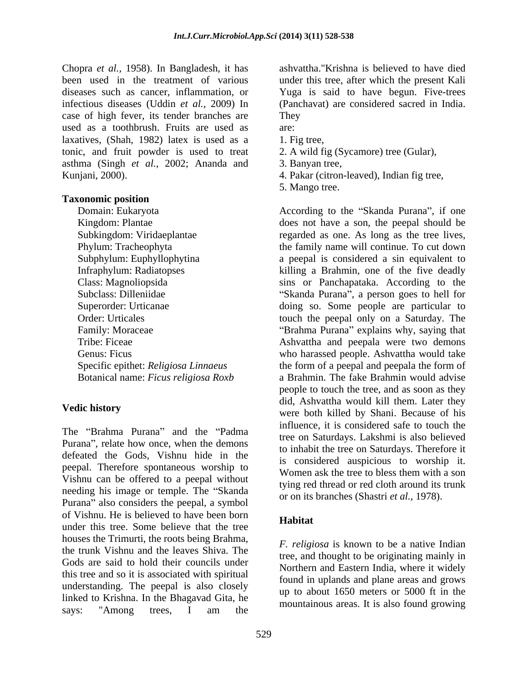Chopra *et al.,* 1958). In Bangladesh, it has been used in the treatment of various under this tree, after which the present Kali diseases such as cancer, inflammation, or Yuga is said to have begun. Five-trees infectious diseases (Uddin *et al.,* 2009) In case of high fever, its tender branches are used as a toothbrush. Fruits are used as laxatives, (Shah, 1982) latex is used as a 1. Fig tree, tonic, and fruit powder is used to treat asthma (Singh *et al.,* 2002; Ananda and Kunjani, 2000). 4. Pakar (citron-leaved), Indian fig tree,

### **Taxonomic position**

The "Brahma Purana" and the "Padma Purana", relate how once, when the demons defeated the Gods, Vishnu hide in the peepal. Therefore spontaneous worship to Women ask the tree to bless them with a son Vishnu can be offered to a peepal without needing his image or temple. The "Skanda" Purana" also considers the peepal, a symbol of Vishnu. He is believed to have been born under this tree. Some believe that the tree houses the Trimurti, the roots being Brahma, the trunk Vishnu and the leaves Shiva. The Gods are said to hold their councils under this tree and so it is associated with spiritual understanding. The peepal is also closely linked to Krishna. In the Bhagavad Gita, he says: "Among trees, I am the mountainous areas. It is also found growing

ashvattha."Krishna is believed to have died (Panchavat) are considered sacred in India. They

- are:
- 1. Fig tree, 2. A wild fig (Sycamore) tree (Gular),
- 3. Banyan tree,
- 
- 5. Mango tree.

Domain: Eukaryota **Eukaryota** According to the "Skanda Purana", if one Kingdom: Plantae does not have a son, the peepal should be Subkingdom: Viridaeplantae regarded as one. As long as the tree lives, Phylum: Tracheophyta the family name will continue. To cut down Subphylum: Euphyllophytina a peepal is considered a sin equivalent to Infraphylum: Radiatopses killing a Brahmin, one of the five deadly Class: Magnoliopsida sins or Panchapataka. According to the Subclass: Dilleniidae 
<sup>Skanda</sup> Purana", a person goes to hell for Superorder: Urticanae doing so. Some people are particular to Order: Urticales touch the peepal only on a Saturday. The Family: Moraceae **Example 3** The "Brahma Purana" explains why, saying that Tribe: Ficeae Ashvattha and peepala were two demons Genus: Ficus who harassed people. Ashvattha would take Specific epithet: *Religiosa Linnaeus* the form of a peepal and peepala the form of Botanical name: *Ficus religiosa Roxb* a Brahmin. The fake Brahmin would advise **Vedic history**<br>
were both killed by Shani. Because of his people to touch the tree, and as soon as they did, Ashvattha would kill them. Later they influence, it is considered safe to touch the tree on Saturdays. Lakshmi is also believed to inhabit the tree on Saturdays. Therefore it is considered auspicious to worship it. Women ask the tree to bless them with a son tying red thread or red cloth around its trunk or on its branches (Shastri *et al.,* 1978).

### **Habitat**

*F. religiosa* is known to be a native Indian tree, and thought to be originating mainly in Northern and Eastern India, where it widely found in uplands and plane areas and grows up to about 1650 meters or 5000 ft in the mountainous areas. It is also found growing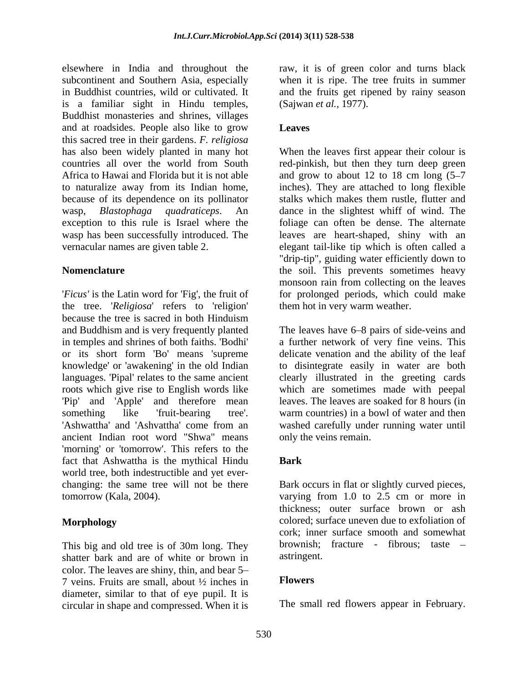elsewhere in India and throughout the raw, it is of green color and turns black subcontinent and Southern Asia, especially when it is ripe. The tree fruits in summer in Buddhist countries, wild or cultivated. It and the fruits get ripened by rainy season is a familiar sight in Hindu temples, Buddhist monasteries and shrines, villages and at roadsides. People also like to grow Leaves this sacred tree in their gardens. *F. religiosa* to naturalize away from its Indian home, because of its dependence on its pollinator stalks which makes them rustle, flutter and

the tree. '*Religiosa*' refers to 'religion' because the tree is sacred in both Hinduism and Buddhism and is very frequently planted The leaves have 6–8 pairs of side-veins and in temples and shrines of both faiths. 'Bodhi' a further network of very fine veins. This or its short form 'Bo' means 'supreme knowledge' or 'awakening' in the old Indian to disintegrate easily in water are both languages. 'Pipal' relates to the same ancient clearly illustrated in the greeting cards roots which give rise to English words like which are sometimes made with peepal 'Pip' and 'Apple' and therefore mean something like 'fruit-bearing tree'. warm countries) in a bowl of water and then ancient Indian root word "Shwa" means 'morning' or 'tomorrow'. This refers to the fact that Ashwattha is the mythical Hindu world tree, both indestructible and yet ever changing: the same tree will not be there Bark occurs in flat or slightly curved pieces,

This big and old tree is of 30m long. They brownish;<br>shatter bark and are of white or brown in astringent. shatter bark and are of white or brown in color. The leaves are shiny, thin, and bear  $5-$ <br>  $7 \text{ years}$  Fruits are small about  $\frac{1}{2}$  inches in Flowers 7 veins. Fruits are small, about  $\frac{1}{2}$  inches in diameter, similar to that of eye pupil. It is circular in shape and compressed. When it is

(Sajwan *et al.,* 1977).

### **Leaves**

has also been widely planted in many hot When the leaves first appear their colour is countries all over the world from South red-pinkish, but then they turn deep green Africa to Hawai and Florida but it is not able and grow to about 12 to 18 cm long (5–7 wasp, *Blastophaga quadraticeps*. An dance in the slightest whiff of wind. The exception to this rule is Israel where the foliage can often be dense. The alternate wasp has been successfully introduced. The leaves are heart-shaped, shiny with an vernacular names are given table 2. elegant tail-like tip which is often called a **Nomenclature the soil.** This prevents sometimes heavy '*Ficus'* is the Latin word for 'Fig', the fruit of for prolonged periods, which could make inches). They are attached to long flexible stalks which makes them rustle, flutter and "drip-tip", guiding water efficiently down to monsoon rain from collecting on the leaves them hot in very warm weather.

'Ashwattha' and 'Ashvattha' come from an washed carefully under running water until delicate venation and the ability of the leaf leaves. The leaves are soaked for 8 hours (in only the veins remain.

### **Bark**

tomorrow (Kala, 2004). varying from 1.0 to 2.5 cm or more in **Morphology** colored; surface uneven due to exfoliation of thickness; outer surface brown or ash cork; inner surface smooth and somewhat brownish; fracture - fibrous; taste astringent.

### **Flowers**

The small red flowers appear in February.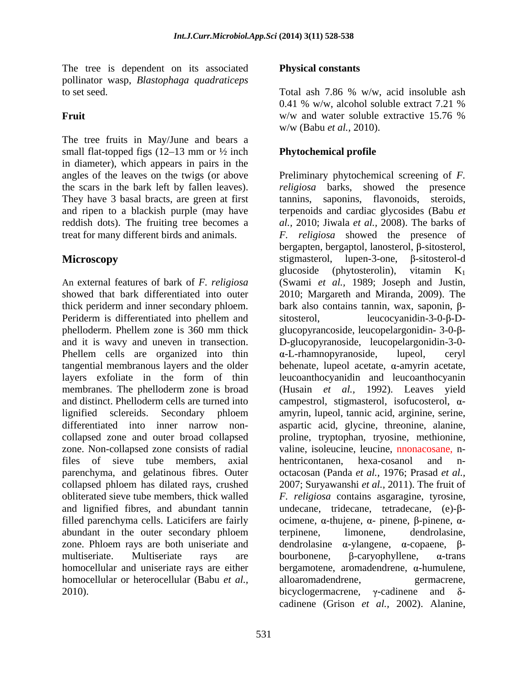The tree is dependent on its associated **Physical constants** pollinator wasp, *Blastophaga quadraticeps* to set seed. Total as follows to set seed. Total as follows a set seed.

The tree fruits in May/June and bears a small flat-topped figs  $(12-13 \text{ mm or } \frac{1}{2})$  inch in diameter), which appears in pairs in the the scars in the bark left by fallen leaves). They have 3 basal bracts, are green at first tannins,

An external features of bark of *F. religiosa* (Swami *et al.,* 1989; Joseph and Justin, showed that bark differentiated into outer 2010; Margareth and Miranda, 2009). The thick periderm and inner secondary phloem. bark also contains tannin, wax, saponin,  $\beta$ -Periderm is differentiated into phellem and sitosterol, phelloderm. Phellem zone is 360 mm thick glucopyrancoside, leucopelargonidin-3-0-βand it is wavy and uneven in transection. D-glucopyranoside, leucopelargonidin-3-0- Phellem cells are organized into thin  $\alpha$ -L-rhamnopyranoside, lupeol, ceryl  $t$ angential membranous layers and the older behenate, lupeol acetate,  $\alpha$ -amyrin acetate, layers exfoliate in the form of thin leucoanthocyanidin and leucoanthocyanin membranes. The phelloderm zone is broad (Husain *et al.,* 1992). Leaves yield and distinct. Phelloderm cells are turned into  $\Box$  campestrol, stigmasterol, isofucosterol,  $\alpha$ lignified sclereids. Secondary phloem amyrin, lupeol, tannic acid, arginine, serine, differentiated into inner narrow non collapsed zone and outer broad collapsed proline, tryptophan, tryosine, methionine, zone. Non-collapsed zone consists of radial files of sieve tube members, axial parenchyma, and gelatinous fibres. Outer octacosan (Panda *et al.,* 1976; Prasad *et al.,* collapsed phloem has dilated rays, crushed 2007; Suryawanshi *et al.,* 2011). The fruit of obliterated sieve tube members, thick walled *F. religiosa* contains asgaragine, tyrosine, and lignified fibres, and abundant tannin undecane, tridecane, tetradecane, (e)- $\beta$ filled parenchyma cells. Laticifers are fairly abundant in the outer secondary phloem terpinene, limonene, dendrolasine, zone. Phloem rays are both uniseriate and multiseriate. Multiseriate rays are bourbonene,  $\beta$ -caryophyllene,  $\alpha$ -trans homocellular and uniseriate rays are either  $\qquad \qquad$  bergamotene, aromadendrene,  $\alpha$ -humulene, homocellular or heterocellular (Babu *et al.,*

**Fruit** W/w and water soluble extractive 15.76 % Total ash 7.86 % w/w, acid insoluble ash 0.41 % w/w, alcohol soluble extract 7.21 % w/w and water soluble extractive 15.76 % w/w (Babu *et al.,* 2010).

### **Phytochemical profile**

angles of the leaves on the twigs (or above Preliminary phytochemical screening of *F.*  and ripen to a blackish purple (may have terpenoids and cardiac glycosides (Babu *et*  reddish dots). The fruiting tree becomes a *al.,* 2010; Jiwala *et al.,* 2008). The barks of treat for many different birds and animals. *F. religiosa* showed the presence of **Microscopy** stigmasterol, lupen-3-one, β-sitosterol-d The tree is dependent on its associated<br>
Definition this associated on its associated on its associated on the set of the set of the set of the set of the set of the set of the set of the set of the set of the set of the *religiosa* barks, showed the presence saponins, flavonoids, steroids,  $b$ ergapten, bergaptol, lanosterol,  $\beta$ -sitosterol, glucoside (phytosterolin), vitamin K1 leucocyanidin-3-0- $\beta$ -D- $\alpha$ -L-rhamnopyranoside, aspartic acid, glycine, threonine, alanine, valine, isoleucine, leucine, **nnonacosane**, nhentricontanen, hexa-cosanol and n ocimene,  $\alpha$ -thujene,  $\alpha$ - pinene,  $\beta$ -pinene,  $\alpha$ terpinene, limonene, dendrolasine,  $\alpha$ -ylangene,  $\alpha$ -copaene,  $\beta$ bourbonene,  $\beta$ -caryophyllene,  $\alpha$ -trans alloaromadendrene, bicyclogermacrene,  $\gamma$ -cadinene and  $\delta$ cadinene (Grison *et al.,* 2002). Alanine,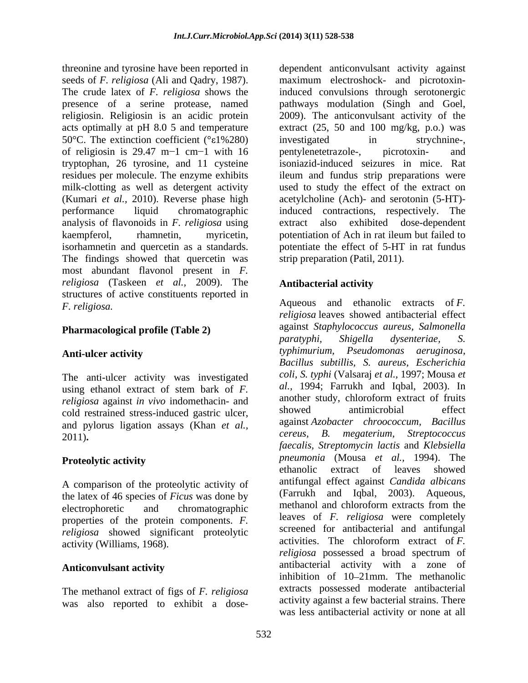threonine and tyrosine have been reported in dependent anticonvulsant activity against presence of a serine protease, named pathways modulation (Singh and Goel, religiosin. Religiosin is an acidic protein 2009). The anticonvulsant activity of the 50°C. The extinction coefficient (° $\varepsilon$ 1%280) investigated in strychnineof religiosin is  $29.47 \text{ m}$ -1 cm-1 with 16 pentylenetetrazole-, picrotoxin- and tryptophan, 26 tyrosine, and 11 cysteine residues per molecule. The enzyme exhibits analysis of flavonoids in *F. religiosa* using The findings showed that quercetin was most abundant flavonol present in *F. religiosa* (Taskeen *et al.,* 2009). The structures of active constituents reported in

The anti-ulcer activity was investigated using ethanol extract of stem bark of *F. religiosa* against *in vivo* indomethacin- and another study, chlorotorm extract of fruits<br>cold restrained stress induced castric vlass showed antimicrobial effect cold restrained stress-induced gastric ulcer, and pylorus ligation assays (Khan *et al.,*

A comparison of the proteolytic activity of the latex of 46 species of *Ficus* was done by properties of the protein components. *F. religiosa* showed significant proteolytic

The methanol extract of figs of *F. religiosa* was also reported to exhibit a dose-

seeds of *F. religiosa* (Ali and Qadry, 1987). maximum electroshock- and picrotoxin-The crude latex of *F. religiosa* shows the induced convulsions through serotonergic 2009). The anticonvulsant activity of the acts optimally at pH 8.0 5 and temperature extract (25, 50 and 100 mg/kg, p.o.) was milk-clotting as well as detergent activity used to study the effect of the extract on (Kumari *et al.*, 2010). Reverse phase high acetylcholine (Ach)- and serotonin (5-HT)performance liquid chromatographic induced contractions, respectively. The kaempferol, rhamnetin, myricetin, potentiation of Ach in rat ileum but failed to isorhamnetin and quercetin as a standards. potentiate the effect of 5-HT in rat fundus pathways modulation (Singh and Goel, 2009). The anticonvulsant activity of the investigated in strychnine-, pentylenetetrazole-, picrotoxin- and isoniazid-induced seizures in mice. Rat ileum and fundus strip preparations were extract also exhibited dose-dependent strip preparation (Patil, 2011).

### **Antibacterial activity**

*F. religiosa.* Aqueous and ethanolic extracts of *F.* **Pharmacological profile (Table 2)** against *Staphylococcus dureus, Salmonella*<br>*paratyphi, Shigella dysenteriae, S.* Anti-ulcer activity **Example 2018** *typhimurium, Pseudomonas aeruginosa,* 2011)**.** *cereus, B. megaterium, Streptococcus* **Proteolytic activity Example 20** *Proteolytic activity pheumonia* (Mousa *et al.*, 1994). The electrophoretic and chromatographic methanol and chlorotorm extracts from the activity (Williams, 1968). activities. The chloroform extract of *F.* Anticonvulsant activity<br> **Anticonvulsant activity** *religiosa* leaves showed antibacterial effect against *Staphylococcus aureus, Salmonella paratyphi, Shigella dysenteriae, S. typhimurium, Pseudomonas aeruginosa, Bacillus subtillis, S. aureus, Escherichia coli, S. typhi* (Valsaraj *et al.,* 1997; Mousa *et al.,* 1994; Farrukh and Iqbal, 2003). In another study, chloroform extract of fruits showed antimicrobial effect against *Azobacter chroococcum, Bacillus faecalis, Streptomycin lactis* and *Klebsiella pneumonia* (Mousa *et al.,* 1994). The ethanolic extract of leaves showed antifungal effect against *Candida albicans* (Farrukh and Iqbal, 2003). Aqueous, methanol and chloroform extracts from the leaves of *F. religiosa* were completely screened for antibacterial and antifungal *religiosa* possessed a broad spectrum of inhibition of 10-21mm. The methanolic extracts possessed moderate antibacterial activity against a few bacterial strains. There was less antibacterial activity or none at all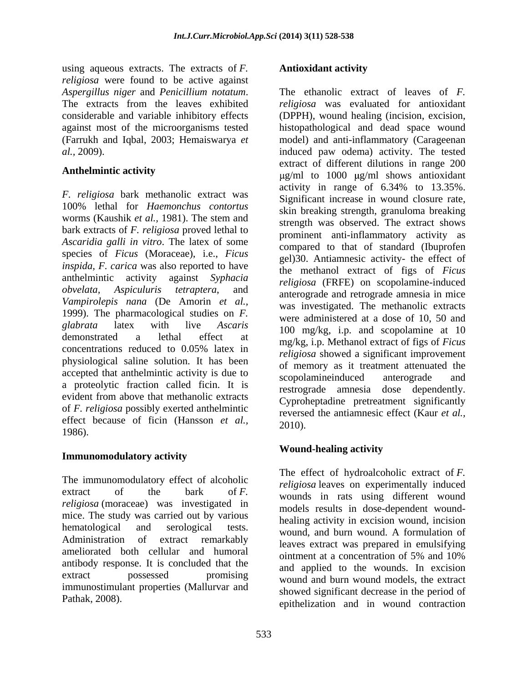using aqueous extracts. The extracts of *F. religiosa* were found to be active against (Farrukh and Iqbal, 2003; Hemaiswarya *et* 

*F. religiosa* bark methanolic extract was 100% lethal for *Haemonchus contortus* worms (Kaushik *et al.,* 1981). The stem and bark extracts of *F. religiosa* proved lethal to *Ascaridia galli in vitro*. The latex of some species of *Ficus* (Moraceae), i.e., *Ficus inspida, F. carica* was also reported to have anthelmintic activity against *Syphacia religiosa* (FRFE) on scopolamine-induced *obvelata*, *Aspiculuris tetraptera*, and *anterograde and retrograde amnesia in mice Vampirolepis nana* (De Amorin *et al.,* 1999). The pharmacological studies on *F. glabrata* latex with live *Ascaris* 100 mg/kg, i.p. and scopolamine at 10 demonstrated a lethal effect at mg/kg, i.p. Methanol extract of figs of *Ficus*  concentrations reduced to  $0.05\%$  latex in religiosa showed a significant improvement physiological saline solution. It has been accepted that anthelmintic activity is due to scopolarine induced anterograde and a proteolytic fraction called ficin. It is evident from above that methanolic extracts<br>Cyprobentadine pretreatment significantly of *F. religiosa* possibly exerted anthelmintic effect because of ficin (Hansson *et al.,*  $1986$ ).

## **Immunomodulatory activity**

The immunomodulatory effect of alcoholic  $\text{extract}$  of the bark of *F*. wounds in rats using different wound *religiosa* (moraceae) was investigated in mice. The study was carried out by various hematological and serological tests. wound, and burn wound. A formulation of Administration of extract remarkably leaves extract was prepared in emulsifying ameliorated both cellular and humoral ointment at a concentration of 5% and 10% antibody response. It is concluded that the extract possessed promising wound and burn wound models, the extract immunostimulant properties (Mallurvar and

### **Antioxidant activity**

*Aspergillus niger* and *Penicillium notatum*. The ethanolic extract of leaves of *F*.<br>The extracts from the leaves exhibited *religiosa* was evaluated for antioxidant considerable and variable inhibitory effects (DPPH), wound healing (incision, excision, against most of the microorganisms tested histopathological and dead space wound *al.,* 2009). induced paw odema) activity. The tested Anthelmintic activity<br>
g/ml to 1000 µg/ml shows antioxidant The ethanolic extract of leaves of*F. religiosa* was evaluated for antioxidant model) and anti-inflammatory (Carageenan extract of different dilutions in range 200 activity in range of 6.34% to 13.35%. Significant increase in wound closure rate, skin breaking strength, granuloma breaking strength was observed. The extract shows prominent anti-inflammatory activity as compared to that of standard (Ibuprofen gel)30. Antiamnesic activity- the effect of the methanol extract of figs of *Ficus*  was investigated. The methanolic extracts were administered at a dose of 10, 50 and *religiosa* showed a significant improvement of memory as it treatment attenuated the scopolamineinduced anterograde and restrograde amnesia dose dependently. Cyproheptadine pretreatment significantly reversed the antiamnesic effect (Kaur *et al.,* 2010).

### **Wound-healing activity**

Pathak, 2008).<br>
epithelization and in wound contraction The effect of hydroalcoholic extract of *F. religiosa* leaves on experimentally induced models results in dose-dependent wound healing activity in excision wound, incision ointment at a concentration of 5% and 10% and applied to the wounds. In excision showed significant decrease in the period of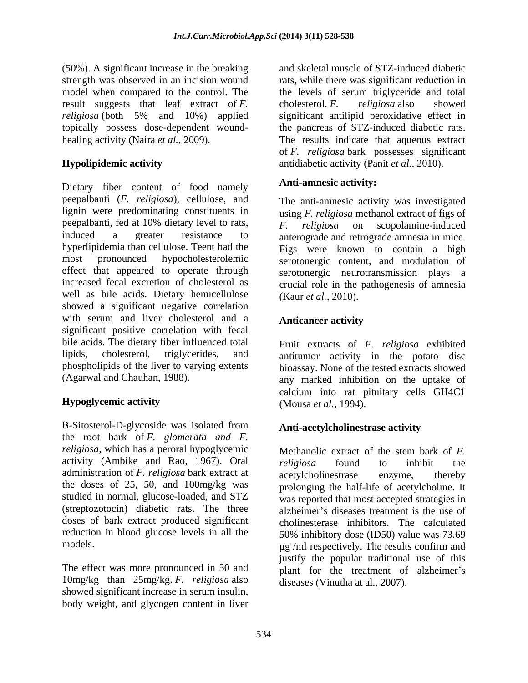(50%). A significant increase in the breaking strength was observed in an incision wound model when compared to the control. The the levels of serum triglyceride and total result suggests that leaf extract of *F. religiosa* (both 5% and 10%) applied significant antilipid peroxidative effect in topically possess dose-dependent wound-<br>healing activity (Naira *et al.*, 2009). healing activity (Naira *et al.,* 2009). The results indicate that aqueous extract

Dietary fiber content of food namely peepalbanti (*F. religiosa*), cellulose, and lignin were predominating constituents in using *F. religiosa* methanol extract of figs of peepalbanti, fed at 10% dietary level to rats,  $\overline{F}$ ,  $\overline{religiosa}$  on scopolamine-induced induced a greater resistance to anterograde and retrograde amnesia in mice. hyperlipidemia than cellulose. Teent had the Figs were known to contain a high most pronounced hypocholesterolemic serotonergic content, and modulation of effect that appeared to operate through serotonergic neurotransmission plays a increased fecal excretion of cholesterol as crucial role in the pathogenesis of amnesia well as bile acids. Dietary hemicellulose showed a significant negative correlation with serum and liver cholesterol and a **Anticancer activity** significant positive correlation with fecal bile acids. The dietary fiber influenced total lipids, cholesterol, triglycerides, and antitumor activity in the potato disc phospholipids of the liver to varying extents bioassay. None of the tested extracts showed

-Sitosterol-D-glycoside was isolated from **Anti-acetylcholinestrase activity** the root bark of *F. glomerata and F. religiosa*, which has a peroral hypoglycemic Methanolic extract of the stem bark of F. activity (Ambike and Rao, 1967). Oral *religiosa* found to inhibit the administration of *F. religiosa* bark extract at studied in normal, glucose-loaded, and STZ (streptozotocin) diabetic rats. The three doses of bark extract produced significant reduction in blood glucose levels in all the

10mg/kg than 25mg/kg. *F. religiosa* also showed significant increase in serum insulin, body weight, and glycogen content in liver

**Hypolipidemic activity** antidiabetic activity (Panit *et al.,* 2010). and skeletal muscle of STZ-induced diabetic rats, while there was significant reduction in cholesterol. *F. religiosa* also showed the pancreas of STZ-induced diabetic rats. of *F. religiosa* bark possesses significant

### **Anti-amnesic activity:**

The anti-amnesic activity was investigated *F. religiosa* on scopolamine-induced (Kaur *et al.,* 2010).

### **Anticancer activity**

(Agarwal and Chauhan, 1988). any marked inhibition on the uptake of **Hypoglycemic activity** (Mousa *et al.*, 1994). Fruit extracts of *F. religiosa* exhibited calcium into rat pituitary cells GH4C1 (Mousa *et al.,* 1994).

### **Anti-acetylcholinestrase activity**

the doses of 25, 50, and 100mg/kg was prolonging the half-life of acetylcholine. It models. g /ml respectively. The results confirm and The effect was more pronounced in 50 and plant for the treatment of alzheimer's Methanolic extract of the stem bark of *F. religiosa* found to inhibit the acetylcholinestrase enzyme, thereby was reported that most accepted strategies in alzheimer's diseases treatment is the use of cholinesterase inhibitors. The calculated 50% inhibitory dose (ID50) value was 73.69 justify the popular traditional use of this diseases (Vinutha at al., 2007).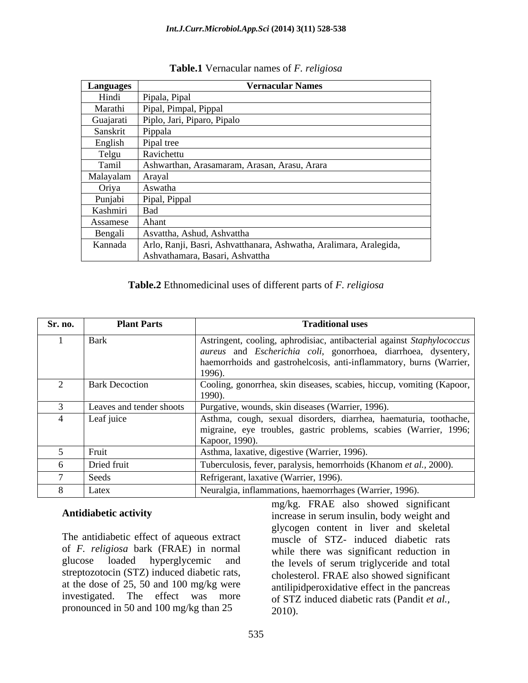### *Int.J.Curr.Microbiol.App.Sci* **(2014) 3(11) 528-538**

| <b>Languages</b> | <b>Vernacular Names</b>                                            |
|------------------|--------------------------------------------------------------------|
| Hindi            | Pipala, Pipal                                                      |
| Marathi          | Pipal, Pimpal, Pippal                                              |
|                  | Guajarati Piplo, Jari, Piparo, Pipalo                              |
| Sanskrit         | Pippala                                                            |
| English          | Pipal tree                                                         |
| Telgu            | Ravichettu                                                         |
| Tamil            | Ashwarthan, Arasamaram, Arasan, Arasu, Arara                       |
| Malayalam Arayal |                                                                    |
| Oriya            | Aswatha                                                            |
| Punjabi          | Pipal, Pippal                                                      |
| Kashmiri         | вас                                                                |
| Assamese         | Ahant                                                              |
| Bengali          | Asvattha, Ashud, Ashvattha                                         |
| Kannada          | Arlo, Ranji, Basri, Ashvatthanara, Ashwatha, Aralimara, Aralegida, |
|                  | Ashvathamara, Basari, Ashvattha                                    |

### **Table.1** Vernacular names of *F. religiosa*

### **Table.2** Ethnomedicinal uses of different parts of *F. religiosa*

| Sr. no. | <b>Plant Parts</b>    | <b>Traditional uses</b>                                                                                                                                                                                         |
|---------|-----------------------|-----------------------------------------------------------------------------------------------------------------------------------------------------------------------------------------------------------------|
|         | Bark                  | Astringent, cooling, aphrodisiac, antibacterial against Staphylococcus<br>aureus and Escherichia coli, gonorrhoea, diarrhoea, dysentery,<br>haemorrhoids and gastrohelcosis, anti-inflammatory, burns (Warrier, |
|         | <b>Bark Decoction</b> | Cooling, gonorrhea, skin diseases, scabies, hiccup, vomiting (Kapoor,                                                                                                                                           |
|         |                       | Leaves and tender shoots   Purgative, wounds, skin diseases (Warrier, 1996).                                                                                                                                    |
|         | Leaf juice            | Asthma, cough, sexual disorders, diarrhea, haematuria, toothache,<br>migraine, eye troubles, gastric problems, scabies (Warrier, 1996;  <br>Kapoor, 1990).                                                      |
|         | Fruit                 | Asthma, laxative, digestive (Warrier, 1996).                                                                                                                                                                    |
|         | Dried fruit           | Tuberculosis, fever, paralysis, hemorrhoids (Khanom et al., 2000).                                                                                                                                              |
|         | Seeds                 | Refrigerant, laxative (Warrier, 1996).                                                                                                                                                                          |
|         | Latex                 | Neuralgia, inflammations, haemorrhages (Warrier, 1996).                                                                                                                                                         |

The antidiabetic effect of aqueous extract muscle of STZ- induced diabetic rats of *F. religiosa* bark (FRAE) in normal while there was significant reduction in glucose loaded hyperglycemic and the levels of serum triglyceride and total streptozotocin (STZ) induced diabetic rats, at the dose of 25, 50 and 100 mg/kg were antilipidperoxidative effect in the pancreas investigated. The effect was more of STZ induced diabetic rats (Pandit *et al.,* pronounced in 50 and 100 mg/kg than 25

Antidiabetic activity **intervalled** increase in serum insulin, body weight and mg/kg. FRAE also showed significant glycogen content in liver and skeletal cholesterol. FRAE also showed significant 2010).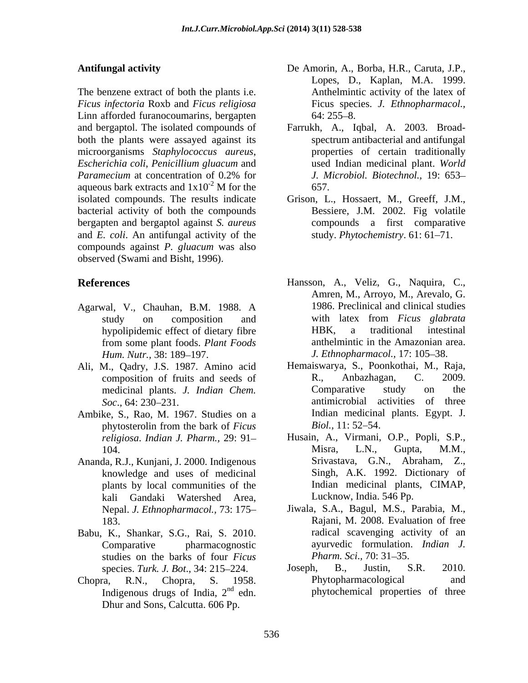The benzene extract of both the plants i.e. *Ficus infectoria* Roxb and *Ficus religiosa* Linn afforded furanocoumarins, bergapten 64: 255–8. and bergaptol. The isolated compounds of Farrukh, A., Iqbal, A. 2003. Broad both the plants were assayed against its microorganisms *Staphylococcus aureus*, *Escherichia coli*, *Penicillium gluacum* and *Paramecium* at concentration of 0.2% for *J. Microbiol. Biotechnol.*, 19: 653– aqueous bark extracts and  $1x10^{-2}$  M for the 657. isolated compounds. The results indicate Grison, L., Hossaert, M., Greeff, J.M., bacterial activity of both the compounds bergapten and bergaptol against *S. aureus* and *E. coli*. An antifungal activity of the compounds against *P. gluacum* was also observed (Swami and Bisht, 1996).

- Agarwal, V., Chauhan, B.M. 1988. A *Hum. Nutr.,* 38: 189–197. *J. Ethnopharmacol.,* 17: 105–38.
- Ali, M., Qadry, J.S. 1987. Amino acid medicinal plants. *J. Indian Chem.*
- Ambike, S., Rao, M. 1967. Studies on a phytosterolin from the bark of *Ficus*
- Ananda, R.J., Kunjani, J. 2000. Indigenous knowledge and uses of medicinal kali Gandaki Watershed Area,
- Babu, K., Shankar, S.G., Rai, S. 2010. studies on the barks of four *Ficus* Pharm. Sci., 70: 31–35.
- Indigenous drugs of India,  $2<sup>nd</sup>$  edn. Dhur and Sons, Calcutta. 606 Pp.
- **Antifungal activity**  De Amorin, A., Borba, H.R., Caruta, J.P., Lopes, D., Kaplan, M.A. 1999. Anthelmintic activity of the latex of Ficus species. *J. Ethnopharmacol.,*  $64: 255 - 8.$ 
	- M for the 657. spectrum antibacterial and antifungal properties of certain traditionally used Indian medicinal plant. *World J. Microbiol. Biotechnol.,* 19: 653 657.
		- Bessiere, J.M. 2002. Fig volatile compounds a first comparative study. *Phytochemistry*. 61: 61-71.
- **References** Hansson, A., Veliz, G., Naquira, C., study on composition and with latex from *Ficus glabrata* hypolipidemic effect of dietary fibre **HBK**, a traditional intestinal from some plant foods. *Plant Foods* Amren, M., Arroyo, M., Arevalo, G. 1986. Preclinical and clinical studies with latex from *Ficus glabrata* HBK, a traditional intestinal anthelmintic in the Amazonian area.
	- composition of fruits and seeds of R., Anbazhagan, C. 2009.<br>
	medicinal plants. *J. Indian Chem*. Comparative study on the *Soc*.*,* 64: 230 231*.* antimicrobial activities of three Hemaiswarya, S., Poonkothai, M., Raja, R., Anbazhagan, C. 2009. Comparative study on the Indian medicinal plants. Egypt. J. *Biol.,* 11: 52–54.
	- *religiosa*. *Indian J. Pharm.,* 29: 91 Husain, A., Virmani, O.P., Popli, S.P., 104. Misra, L.N., Gupta, M.M., plants by local communities of the Indian medicinal plants, CIMAP, Misra, L.N., Gupta, M.M., Srivastava, G.N., Abraham, Z., Singh, A.K. 1992. Dictionary of Lucknow, India. 546 Pp.
	- Nepal. *J. Ethnopharmacol.,* 73: 175 Jiwala, S.A., Bagul, M.S., Parabia, M., 183. Rajani, M. 2008. Evaluation of free Comparative pharmacognostic ayurvedic formulation. *Indian J.* radical scavenging activity of an *Pharm. Sci., 70: 31–35.*
- species. *Turk. J. Bot.*, 34: 215–224. Joseph, B., Justin, S.R. 2010. Chopra, R.N., Chopra, S. 1958. <sup>nd</sup> edn. phytochemical properties of three Joseph, B., Justin, S.R. 2010. Phytopharmacological and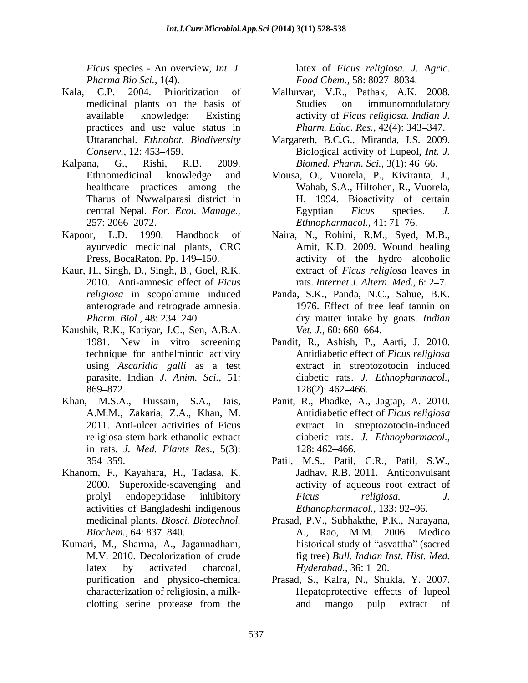*Ficus* species - An overview, *Int. J.* latex of *Ficus religiosa*. *J. Agric. Pharma Bio Sci.,* 1(4). *Food Chem.,* 58: 8027–8034.

- Kala, C.P. 2004. Prioritization of Mallurvar, V.R., Pathak, A.K. 2008. practices and use value status in
- Kalpana, G., Rishi, R.B. 2009. *Biomed. Pharm. Sci.,* 3(1): 46 66. Tharus of Nwwalparasi district in
- Kapoor, L.D. 1990. Handbook of Naira, N., Rohini, R.M., Syed, M.B., ayurvedic medicinal plants, CRC
- Kaur, H., Singh, D., Singh, B., Goel, R.K.
- Kaushik, R.K., Katiyar, J.C., Sen, A.B.A.
- Khan, M.S.A., Hussain, S.A., Jais, Panit, R., Phadke, A., Jagtap, A. 2010. in rats. *J. Med. Plants Res*.*,* 5(3):
- Khanom, F., Kayahara, H., Tadasa, K. activities of Bangladeshi indigenous
- Kumari, M., Sharma, A., Jagannadham,

- medicinal plants on the basis of available knowledge: Existing activity of *Ficus religiosa*. *Indian J.* Studies on immunomodulatory *Pharm. Educ. Res., 42(4): 343-347.*
- Uttaranchal. *Ethnobot. Biodiversity* Margareth, B.C.G., Miranda, J.S. 2009. *Conserv.,* 12: 453–459. Biological activity of Lupeol, *Int. J.*
- Ethnomedicinal knowledge and Mousa, O., Vuorela, P., Kiviranta, J., healthcare practices among the Wahab, S.A., Hiltohen, R., Vuorela, central Nepal. *For. Ecol. Manage.,* 257: 2066 2072. *Ethnopharmacol.*, 41: 71 76. H. 1994. Bioactivity of certain Egyptian *Ficus* species. *J.*
- Press, BocaRaton. Pp. 149–150. The activity of the hydro alcoholic 2010. Anti-amnesic effect of *Ficus*  rats. *Internet J. Altern. Med.,* 6: 2 7. Amit, K.D. 2009. Wound healing extract of *Ficus religiosa* leaves in
- *religiosa* in scopolamine induced Panda, S.K., Panda, N.C., Sahue, B.K. anterograde and retrograde amnesia. 1976. Effect of tree leaf tannin on *Pharm. Biol.,* 48: 234 240. dry matter intake by goats. *Indian Vet. J.*, 60: 660–664.
- 1981. New in vitro screening Pandit, R., Ashish, P., Aarti, J. 2010. technique for anthelmintic activity Antidiabetic effect of *Ficus religiosa*  using *Ascaridia galli* as a test extract in streptozotocin induced parasite. Indian *J. Anim. Sci.,* 51: diabetic rats. *J. Ethnopharmacol.,* 869–872. 128(2): 462–466. 128(2): 462–466.
- A.M.M., Zakaria, Z.A., Khan, M. Antidiabetic effect of *Ficus religiosa* 2011. Anti-ulcer activities of Ficus extract in streptozotocin-induced religiosa stem bark ethanolic extract diabetic rats. J. Ethnopharmacol., diabetic rats. *J. Ethnopharmacol.,* 128: 462 466.
- 354 359. Patil, M.S., Patil, C.R., Patil, S.W., 2000. Superoxide-scavenging and activity of aqueous root extract of prolyl endopeptidase inhibitory *Ficus religiosa*. J. Jadhav, R.B. 2011. Anticonvulsant *Ficus religiosa. J. Ethanopharmacol.,* 133: 92-96.
- medicinal plants. *Biosci. Biotechnol.* Prasad, P.V., Subhakthe, P.K., Narayana, *Biochem.,* 64: 837 840. A., Rao, M.M. 2006. Medico M.V. 2010. Decolorization of crude fig tree) *Bull. Indian Inst. Hist. Med.* latex by activated charcoal, *Hyderabad.*, 36: 1–20. historical study of "asvattha" (sacred *Hyderabad.,* 36: 1–20.
- purification and physico-chemical Prasad, S., Kalra, N., Shukla, Y. 2007. characterization of religiosin, a milk- Hepatoprotective effects of lupeol clotting serine protease from the and mango pulp extract of